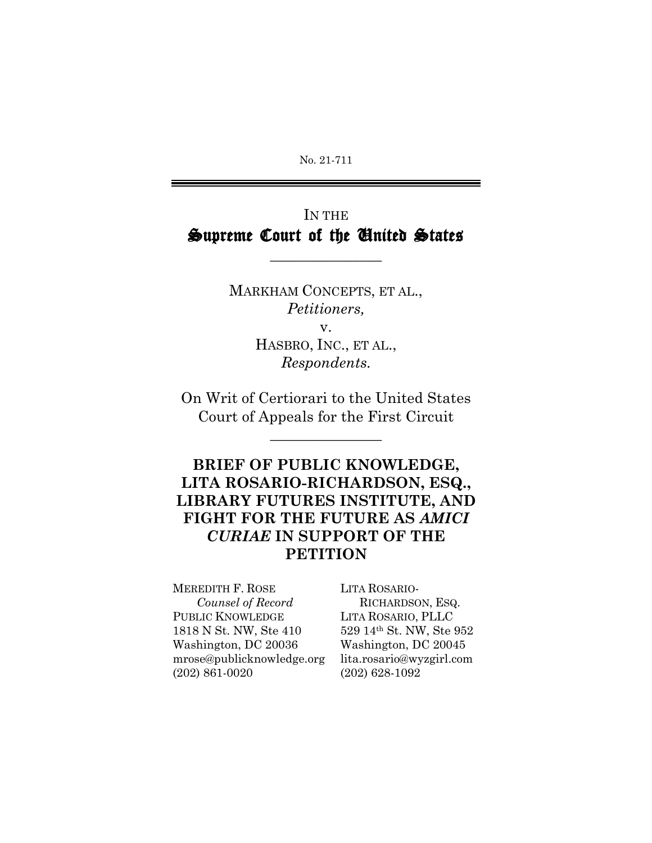No. 21-711

# IN THE Supreme Court of the United States

\_\_\_\_\_\_\_\_\_\_\_\_\_\_\_

MARKHAM CONCEPTS, ET AL., *Petitioners,* v.

HASBRO, INC., ET AL., *Respondents.*

On Writ of Certiorari to the United States Court of Appeals for the First Circuit

\_\_\_\_\_\_\_\_\_\_\_\_\_\_\_

## **BRIEF OF PUBLIC KNOWLEDGE, LITA ROSARIO-RICHARDSON, ESQ., LIBRARY FUTURES INSTITUTE, AND FIGHT FOR THE FUTURE AS** *AMICI CURIAE* **IN SUPPORT OF THE PETITION**

MEREDITH F. ROSE LITA ROSARIO-*Counsel of Record* RICHARDSON, ESQ. PUBLIC KNOWLEDGE LITA ROSARIO, PLLC 1818 N St. NW, Ste 410 529 14th St. NW, Ste 952 Washington, DC 20036 Washington, DC 20045 mrose@publicknowledge.org lita.rosario@wyzgirl.com (202) 861-0020 (202) 628-1092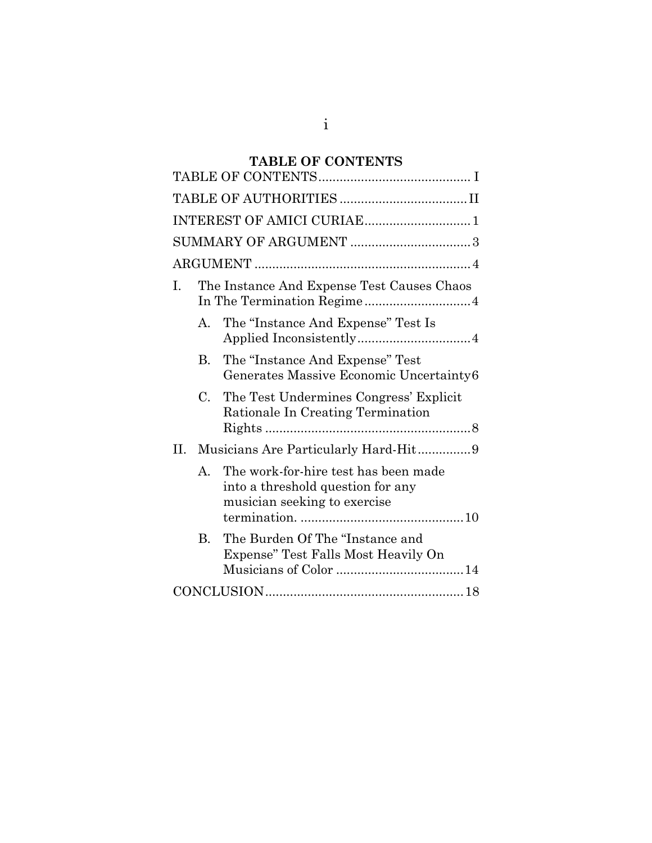# **TABLE OF CONTENTS**

| The Instance And Expense Test Causes Chaos<br>Ι.                                                                          |
|---------------------------------------------------------------------------------------------------------------------------|
| The "Instance And Expense" Test Is<br>A.                                                                                  |
| The "Instance And Expense" Test<br>B.<br>Generates Massive Economic Uncertainty6                                          |
| $C_{\cdot}$<br>The Test Undermines Congress' Explicit<br>Rationale In Creating Termination                                |
| II.<br>Musicians Are Particularly Hard-Hit9                                                                               |
| The work-for-hire test has been made<br>$\mathsf{A}$<br>into a threshold question for any<br>musician seeking to exercise |
| The Burden Of The "Instance and<br>$B_{\cdot}$<br>Expense" Test Falls Most Heavily On                                     |
|                                                                                                                           |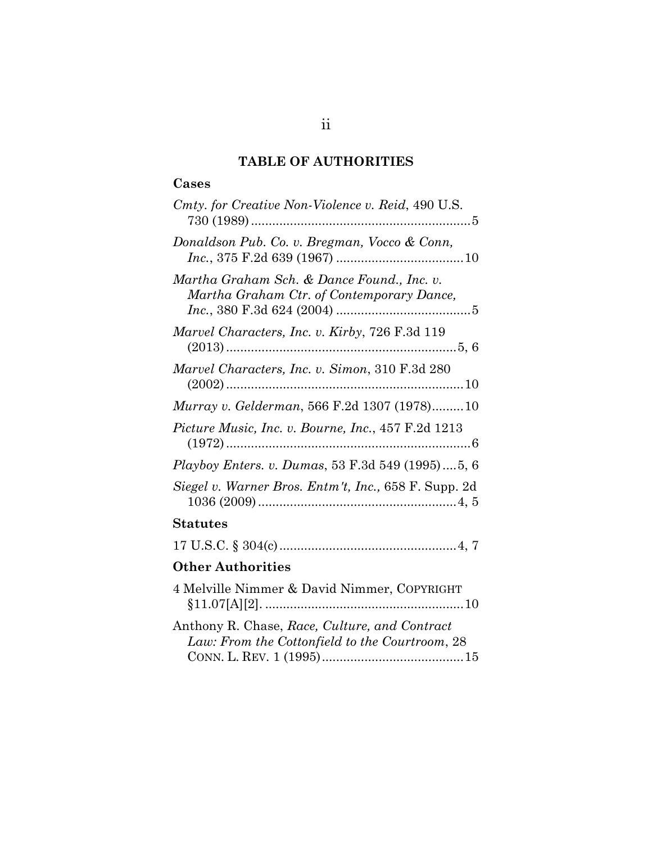## **TABLE OF AUTHORITIES**

## **Cases**

| Cmty. for Creative Non-Violence v. Reid, 490 U.S.                                               |
|-------------------------------------------------------------------------------------------------|
| Donaldson Pub. Co. v. Bregman, Vocco & Conn,                                                    |
| Martha Graham Sch. & Dance Found., Inc. v.<br>Martha Graham Ctr. of Contemporary Dance,         |
| Marvel Characters, Inc. v. Kirby, 726 F.3d 119                                                  |
| Marvel Characters, Inc. v. Simon, 310 F.3d 280                                                  |
| Murray v. Gelderman, 566 F.2d 1307 (1978) 10                                                    |
| Picture Music, Inc. v. Bourne, Inc., 457 F.2d 1213                                              |
| Playboy Enters. v. Dumas, 53 F.3d 549 (1995)5, 6                                                |
| Siegel v. Warner Bros. Entm't, Inc., 658 F. Supp. 2d                                            |
| Statutes                                                                                        |
|                                                                                                 |
| <b>Other Authorities</b>                                                                        |
| 4 Melville Nimmer & David Nimmer, COPYRIGHT                                                     |
| Anthony R. Chase, Race, Culture, and Contract<br>Law: From the Cottonfield to the Courtroom, 28 |

CONN. L. REV. 1 (1995)........................................15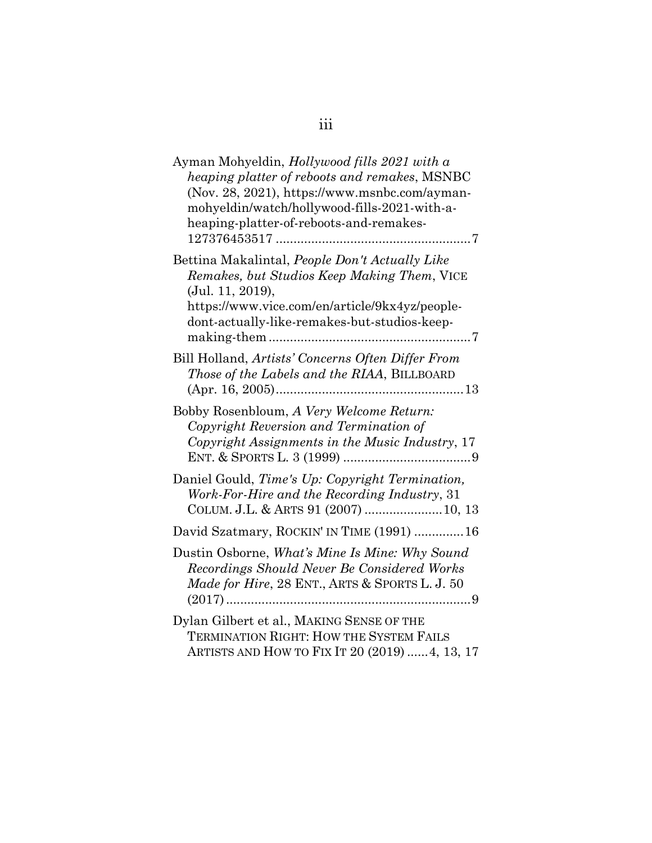| Ayman Mohyeldin, Hollywood fills 2021 with a<br>heaping platter of reboots and remakes, MSNBC<br>(Nov. 28, 2021), https://www.msnbc.com/ayman-<br>mohyeldin/watch/hollywood-fills-2021-with-a-<br>heaping-platter-of-reboots-and-remakes- |
|-------------------------------------------------------------------------------------------------------------------------------------------------------------------------------------------------------------------------------------------|
| Bettina Makalintal, People Don't Actually Like<br>Remakes, but Studios Keep Making Them, VICE<br>(Jul. 11, 2019),<br>https://www.vice.com/en/article/9kx4yz/people-<br>dont-actually-like-remakes-but-studios-keep-                       |
| Bill Holland, Artists' Concerns Often Differ From<br>Those of the Labels and the RIAA, BILLBOARD<br>$(Apr. 16, 2005)$                                                                                                                     |
| Bobby Rosenbloum, A Very Welcome Return:<br>Copyright Reversion and Termination of<br>Copyright Assignments in the Music Industry, 17                                                                                                     |
| Daniel Gould, Time's Up: Copyright Termination,<br>Work-For-Hire and the Recording Industry, 31<br>COLUM. J.L. & ARTS 91 (2007)  10, 13                                                                                                   |
| David Szatmary, ROCKIN' IN TIME (1991)  16                                                                                                                                                                                                |
| Dustin Osborne, What's Mine Is Mine: Why Sound<br>Recordings Should Never Be Considered Works<br>Made for Hire, 28 ENT., ARTS & SPORTS L. J. 50                                                                                           |
| Dylan Gilbert et al., MAKING SENSE OF THE<br><b>TERMINATION RIGHT: HOW THE SYSTEM FAILS</b><br>ARTISTS AND HOW TO FIX IT 20 (2019)  4, 13, 17                                                                                             |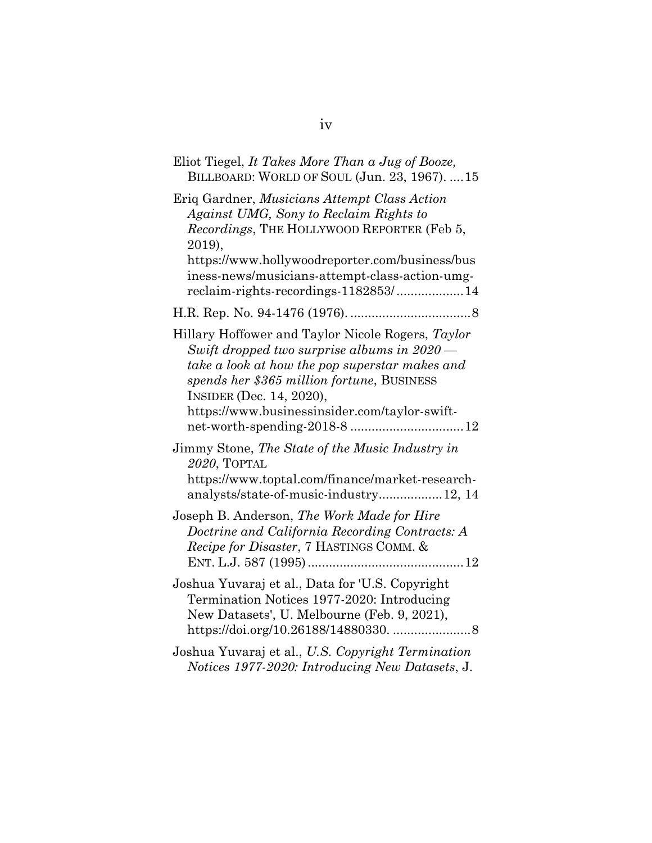| Eliot Tiegel, It Takes More Than a Jug of Booze,<br>BILLBOARD: WORLD OF SOUL (Jun. 23, 1967).  15                                                                                                                                                                                    |
|--------------------------------------------------------------------------------------------------------------------------------------------------------------------------------------------------------------------------------------------------------------------------------------|
| Eriq Gardner, Musicians Attempt Class Action<br>Against UMG, Sony to Reclaim Rights to<br>Recordings, THE HOLLYWOOD REPORTER (Feb 5,<br>2019),<br>https://www.hollywoodreporter.com/business/bus<br>iness-news/musicians-attempt-class-action-umg-                                   |
| reclaim-rights-recordings-1182853/14                                                                                                                                                                                                                                                 |
|                                                                                                                                                                                                                                                                                      |
| Hillary Hoffower and Taylor Nicole Rogers, Taylor<br>Swift dropped two surprise albums in 2020 -<br>take a look at how the pop superstar makes and<br>spends her \$365 million fortune, BUSINESS<br><b>INSIDER (Dec. 14, 2020),</b><br>https://www.businessinsider.com/taylor-swift- |
| Jimmy Stone, The State of the Music Industry in<br>2020, TOPTAL<br>https://www.toptal.com/finance/market-research-<br>analysts/state-of-music-industry12, 14                                                                                                                         |
| Joseph B. Anderson, The Work Made for Hire<br>Doctrine and California Recording Contracts: A<br>Recipe for Disaster, 7 HASTINGS COMM. &                                                                                                                                              |
| Joshua Yuvaraj et al., Data for 'U.S. Copyright<br>Termination Notices 1977-2020: Introducing<br>New Datasets', U. Melbourne (Feb. 9, 2021),                                                                                                                                         |
| Joshua Yuvaraj et al., U.S. Copyright Termination<br>Notices 1977-2020: Introducing New Datasets, J.                                                                                                                                                                                 |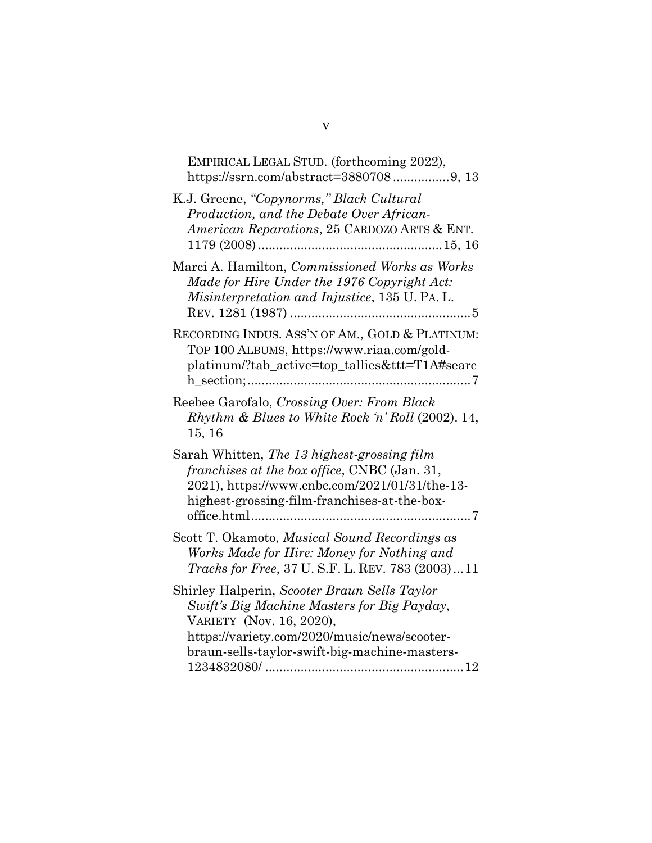| EMPIRICAL LEGAL STUD. (forthcoming 2022),<br>https://ssrn.com/abstract=38807089, 13                                                                                                                                      |
|--------------------------------------------------------------------------------------------------------------------------------------------------------------------------------------------------------------------------|
| K.J. Greene, "Copynorms," Black Cultural<br>Production, and the Debate Over African-<br>American Reparations, 25 CARDOZO ARTS & ENT.                                                                                     |
| Marci A. Hamilton, Commissioned Works as Works<br>Made for Hire Under the 1976 Copyright Act:<br>Misinterpretation and Injustice, 135 U. PA. L.<br>REV. 1281 (1987)                                                      |
| RECORDING INDUS. ASS'N OF AM., GOLD & PLATINUM:<br>TOP 100 ALBUMS, https://www.riaa.com/gold-<br>platinum/?tab_active=top_tallies&ttt=T1A#searc                                                                          |
| Reebee Garofalo, Crossing Over: From Black<br>Rhythm & Blues to White Rock 'n' Roll (2002). 14,<br>15, 16                                                                                                                |
| Sarah Whitten, The 13 highest-grossing film<br>franchises at the box office, CNBC (Jan. 31,<br>2021), https://www.cnbc.com/2021/01/31/the-13-<br>highest-grossing-film-franchises-at-the-box-                            |
| Scott T. Okamoto, Musical Sound Recordings as<br>Works Made for Hire: Money for Nothing and<br>Tracks for Free, 37 U.S.F. L. REV. 783 (2003)11                                                                           |
| Shirley Halperin, Scooter Braun Sells Taylor<br>Swift's Big Machine Masters for Big Payday,<br>VARIETY (Nov. 16, 2020),<br>https://variety.com/2020/music/news/scooter-<br>braun-sells-taylor-swift-big-machine-masters- |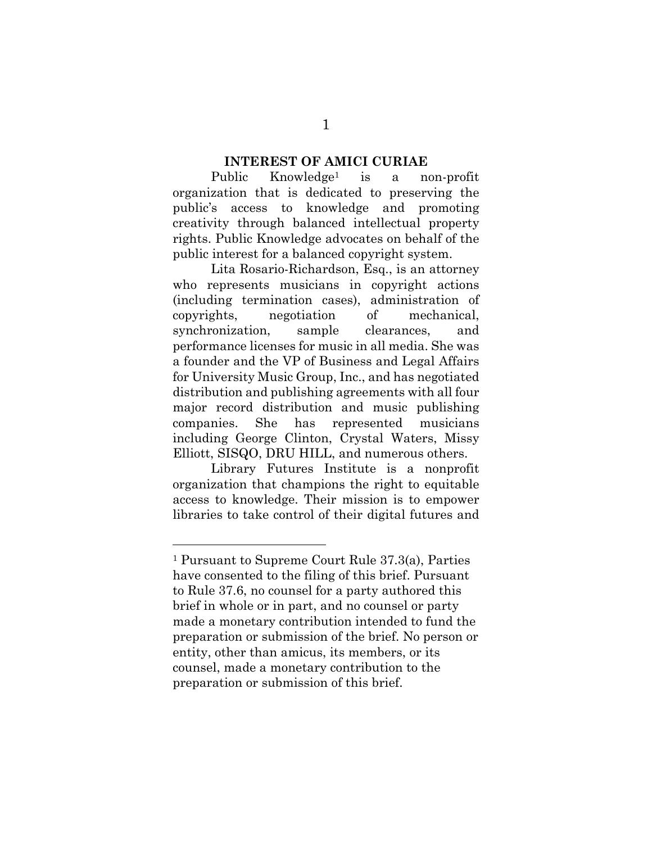#### **INTEREST OF AMICI CURIAE**

Public Knowledge1 is a non-profit organization that is dedicated to preserving the public's access to knowledge and promoting creativity through balanced intellectual property rights. Public Knowledge advocates on behalf of the public interest for a balanced copyright system.

Lita Rosario-Richardson, Esq., is an attorney who represents musicians in copyright actions (including termination cases), administration of copyrights, negotiation of mechanical, synchronization, sample clearances, and performance licenses for music in all media. She was a founder and the VP of Business and Legal Affairs for University Music Group, Inc., and has negotiated distribution and publishing agreements with all four major record distribution and music publishing companies. She has represented musicians including George Clinton, Crystal Waters, Missy Elliott, SISQO, DRU HILL, and numerous others.

Library Futures Institute is a nonprofit organization that champions the right to equitable access to knowledge. Their mission is to empower libraries to take control of their digital futures and

<sup>1</sup> Pursuant to Supreme Court Rule 37.3(a), Parties have consented to the filing of this brief. Pursuant to Rule 37.6, no counsel for a party authored this brief in whole or in part, and no counsel or party made a monetary contribution intended to fund the preparation or submission of the brief. No person or entity, other than amicus, its members, or its counsel, made a monetary contribution to the preparation or submission of this brief.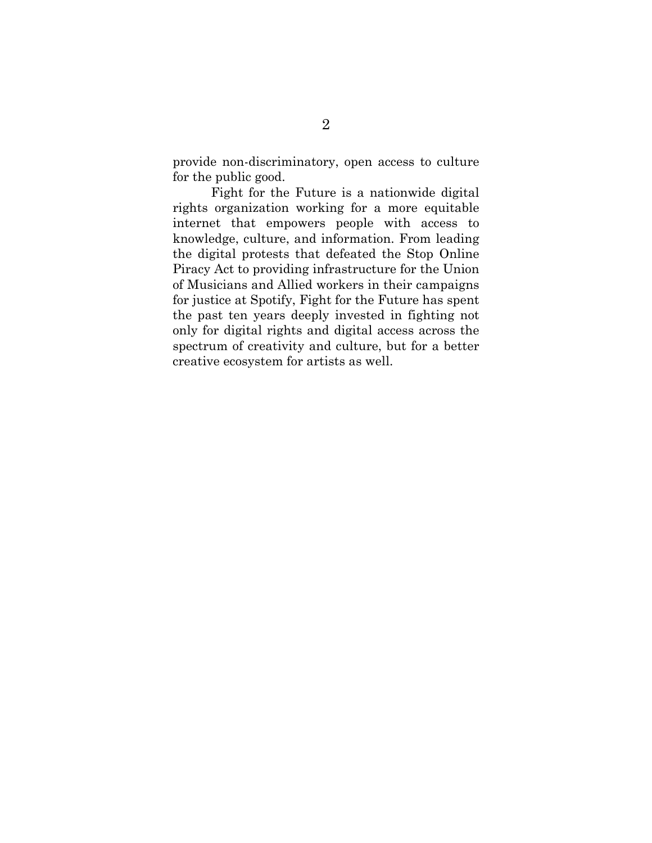provide non-discriminatory, open access to culture for the public good.

Fight for the Future is a nationwide digital rights organization working for a more equitable internet that empowers people with access to knowledge, culture, and information. From leading the digital protests that defeated the Stop Online Piracy Act to providing infrastructure for the Union of Musicians and Allied workers in their campaigns for justice at Spotify, Fight for the Future has spent the past ten years deeply invested in fighting not only for digital rights and digital access across the spectrum of creativity and culture, but for a better creative ecosystem for artists as well.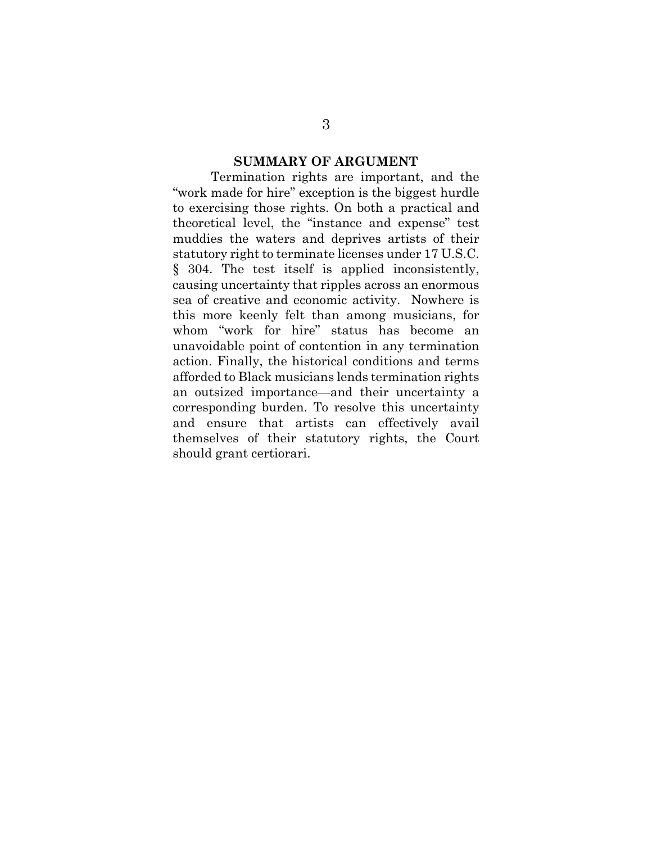#### **SUMMARY OF ARGUMENT**

Termination rights are important, and the "work made for hire" exception is the biggest hurdle to exercising those rights. On both a practical and theoretical level, the "instance and expense" test muddies the waters and deprives artists of their statutory right to terminate licenses under 17 U.S.C. § 304. The test itself is applied inconsistently, causing uncertainty that ripples across an enormous sea of creative and economic activity. Nowhere is this more keenly felt than among musicians, for whom "work for hire" status has become an unavoidable point of contention in any termination action. Finally, the historical conditions and terms afforded to Black musicians lends termination rights an outsized importance—and their uncertainty a corresponding burden. To resolve this uncertainty and ensure that artists can effectively avail themselves of their statutory rights, the Court should grant certiorari.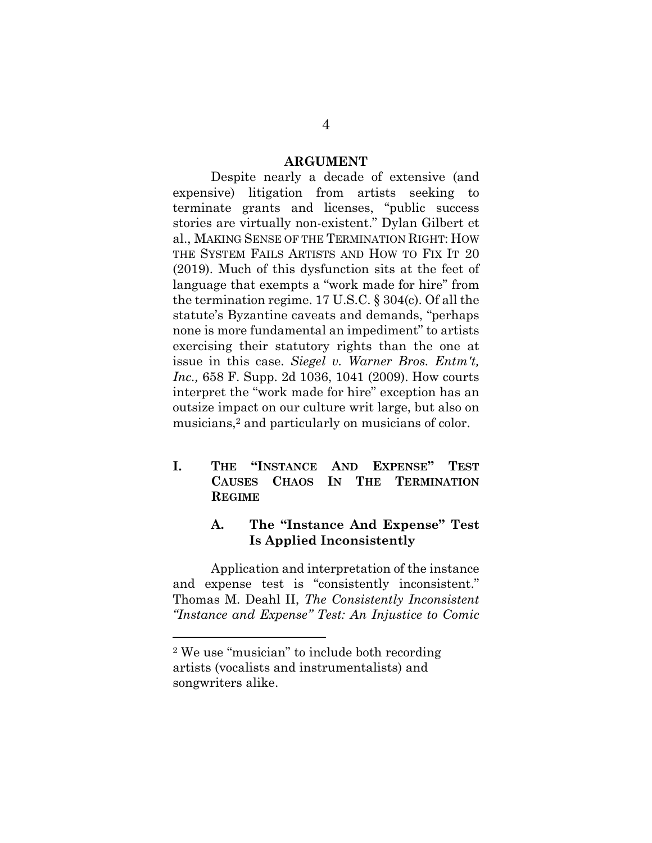#### **ARGUMENT**

Despite nearly a decade of extensive (and expensive) litigation from artists seeking to terminate grants and licenses, "public success stories are virtually non-existent." Dylan Gilbert et al., MAKING SENSE OF THE TERMINATION RIGHT: HOW THE SYSTEM FAILS ARTISTS AND HOW TO FIX IT 20 (2019). Much of this dysfunction sits at the feet of language that exempts a "work made for hire" from the termination regime. 17 U.S.C. § 304(c). Of all the statute's Byzantine caveats and demands, "perhaps none is more fundamental an impediment" to artists exercising their statutory rights than the one at issue in this case. *Siegel v. Warner Bros. Entm't, Inc.,* 658 F. Supp. 2d 1036, 1041 (2009). How courts interpret the "work made for hire" exception has an outsize impact on our culture writ large, but also on musicians,<sup>2</sup> and particularly on musicians of color.

**I. THE "INSTANCE AND EXPENSE" TEST CAUSES CHAOS IN THE TERMINATION REGIME**

#### **A. The "Instance And Expense" Test Is Applied Inconsistently**

Application and interpretation of the instance and expense test is "consistently inconsistent." Thomas M. Deahl II, *The Consistently Inconsistent "Instance and Expense" Test: An Injustice to Comic* 

<sup>2</sup> We use "musician" to include both recording artists (vocalists and instrumentalists) and songwriters alike.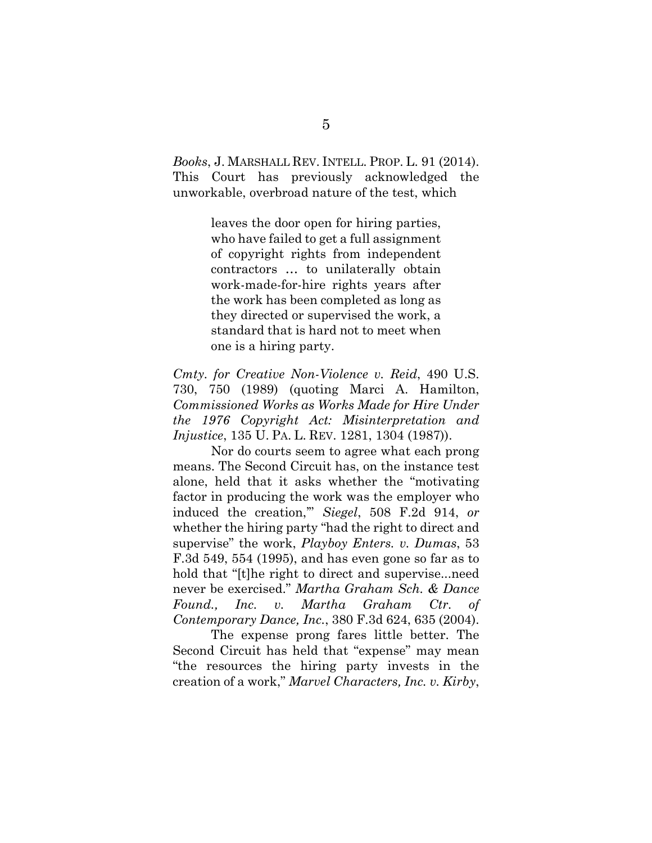*Books*, J. MARSHALL REV. INTELL. PROP. L. 91 (2014). This Court has previously acknowledged the unworkable, overbroad nature of the test, which

> leaves the door open for hiring parties, who have failed to get a full assignment of copyright rights from independent contractors … to unilaterally obtain work-made-for-hire rights years after the work has been completed as long as they directed or supervised the work, a standard that is hard not to meet when one is a hiring party.

*Cmty. for Creative Non-Violence v. Reid*, 490 U.S. 730, 750 (1989) (quoting Marci A. Hamilton, *Commissioned Works as Works Made for Hire Under the 1976 Copyright Act: Misinterpretation and Injustice*, 135 U. PA. L. REV. 1281, 1304 (1987)).

Nor do courts seem to agree what each prong means. The Second Circuit has, on the instance test alone, held that it asks whether the "motivating factor in producing the work was the employer who induced the creation,'" *Siegel*, 508 F.2d 914, *or* whether the hiring party "had the right to direct and supervise" the work, *Playboy Enters. v. Dumas*, 53 F.3d 549, 554 (1995), and has even gone so far as to hold that "[t]he right to direct and supervise...need never be exercised." *Martha Graham Sch. & Dance Found., Inc. v. Martha Graham Ctr. of Contemporary Dance, Inc.*, 380 F.3d 624, 635 (2004).

The expense prong fares little better. The Second Circuit has held that "expense" may mean "the resources the hiring party invests in the creation of a work," *Marvel Characters, Inc. v. Kirby*,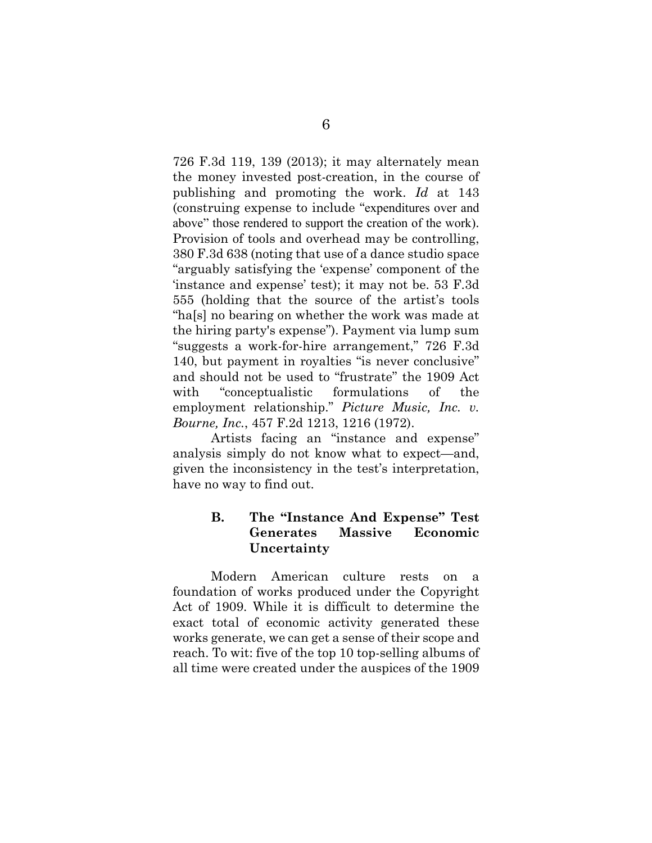726 F.3d 119, 139 (2013); it may alternately mean the money invested post-creation, in the course of publishing and promoting the work. *Id* at 143 (construing expense to include "expenditures over and above" those rendered to support the creation of the work). Provision of tools and overhead may be controlling, 380 F.3d 638 (noting that use of a dance studio space "arguably satisfying the 'expense' component of the 'instance and expense' test); it may not be. 53 F.3d 555 (holding that the source of the artist's tools "ha[s] no bearing on whether the work was made at the hiring party's expense"). Payment via lump sum "suggests a work-for-hire arrangement," 726 F.3d 140, but payment in royalties "is never conclusive" and should not be used to "frustrate" the 1909 Act with "conceptualistic formulations of the employment relationship." *Picture Music, Inc. v. Bourne, Inc.*, 457 F.2d 1213, 1216 (1972).

Artists facing an "instance and expense" analysis simply do not know what to expect—and, given the inconsistency in the test's interpretation, have no way to find out.

#### **B. The "Instance And Expense" Test Generates Massive Economic Uncertainty**

Modern American culture rests on a foundation of works produced under the Copyright Act of 1909. While it is difficult to determine the exact total of economic activity generated these works generate, we can get a sense of their scope and reach. To wit: five of the top 10 top-selling albums of all time were created under the auspices of the 1909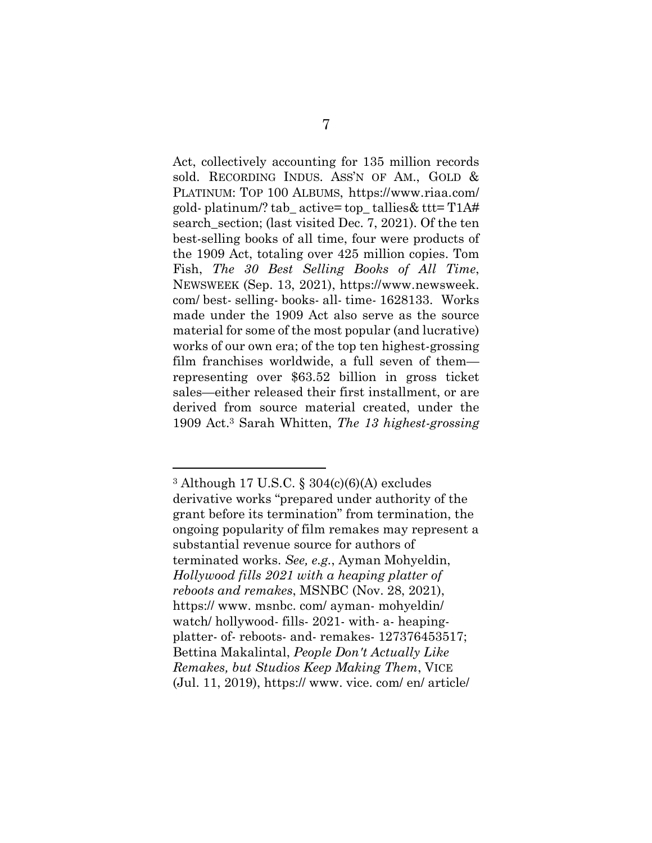Act, collectively accounting for 135 million records sold. RECORDING INDUS. ASS'N OF AM., GOLD & PLATINUM: TOP 100 ALBUMS, https://www.riaa.com/ gold- platinum/? tab\_ active= top\_ tallies& ttt= T1A# search section; (last visited Dec. 7, 2021). Of the ten best-selling books of all time, four were products of the 1909 Act, totaling over 425 million copies. Tom Fish, *The 30 Best Selling Books of All Time*, NEWSWEEK (Sep. 13, 2021), https://www.newsweek. com/ best- selling- books- all- time- 1628133. Works made under the 1909 Act also serve as the source material for some of the most popular (and lucrative) works of our own era; of the top ten highest-grossing film franchises worldwide, a full seven of them representing over \$63.52 billion in gross ticket sales—either released their first installment, or are derived from source material created, under the 1909 Act.3 Sarah Whitten, *The 13 highest-grossing* 

<sup>3</sup> Although 17 U.S.C. § 304(c)(6)(A) excludes derivative works "prepared under authority of the grant before its termination" from termination, the ongoing popularity of film remakes may represent a substantial revenue source for authors of terminated works. *See, e.g.*, Ayman Mohyeldin, *Hollywood fills 2021 with a heaping platter of reboots and remakes*, MSNBC (Nov. 28, 2021), https:// www. msnbc. com/ ayman- mohyeldin/ watch/ hollywood- fills- 2021- with- a- heapingplatter- of- reboots- and- remakes- 127376453517; Bettina Makalintal, *People Don't Actually Like Remakes, but Studios Keep Making Them*, VICE (Jul. 11, 2019), https:// www. vice. com/ en/ article/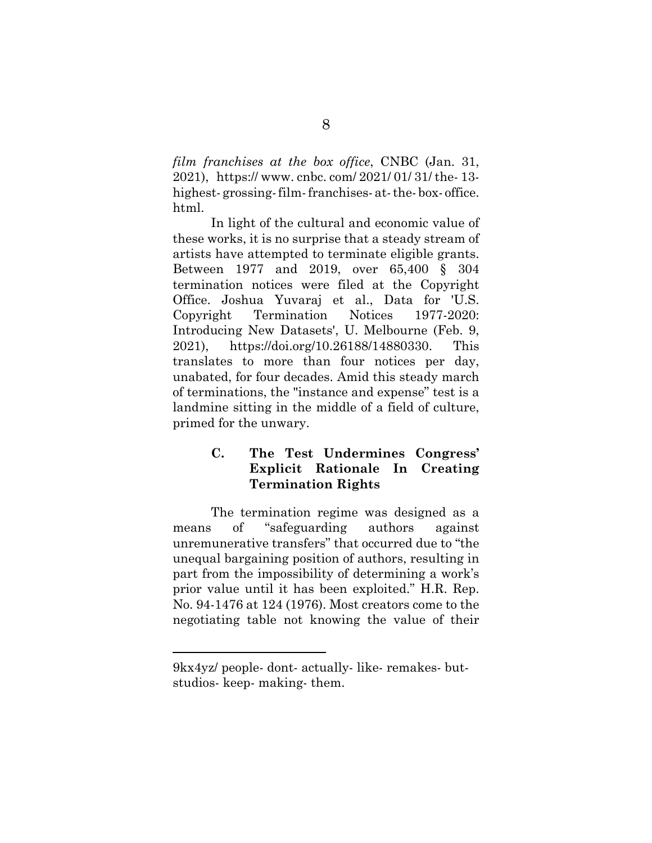*film franchises at the box office*, CNBC (Jan. 31, 2021), https:// www. cnbc. com/ 2021/ 01/ 31/ the- 13 highest-grossing-film-franchises- at-the-box-office. html.

In light of the cultural and economic value of these works, it is no surprise that a steady stream of artists have attempted to terminate eligible grants. Between 1977 and 2019, over 65,400 § 304 termination notices were filed at the Copyright Office. Joshua Yuvaraj et al., Data for 'U.S. Copyright Termination Notices 1977-2020: Introducing New Datasets', U. Melbourne (Feb. 9, 2021), https://doi.org/10.26188/14880330. This translates to more than four notices per day, unabated, for four decades. Amid this steady march of terminations, the "instance and expense" test is a landmine sitting in the middle of a field of culture, primed for the unwary.

## **C. The Test Undermines Congress' Explicit Rationale In Creating Termination Rights**

The termination regime was designed as a means of "safeguarding authors against unremunerative transfers" that occurred due to "the unequal bargaining position of authors, resulting in part from the impossibility of determining a work's prior value until it has been exploited." H.R. Rep. No. 94-1476 at 124 (1976). Most creators come to the negotiating table not knowing the value of their

<sup>9</sup>kx4yz/ people- dont- actually- like- remakes- butstudios- keep- making- them.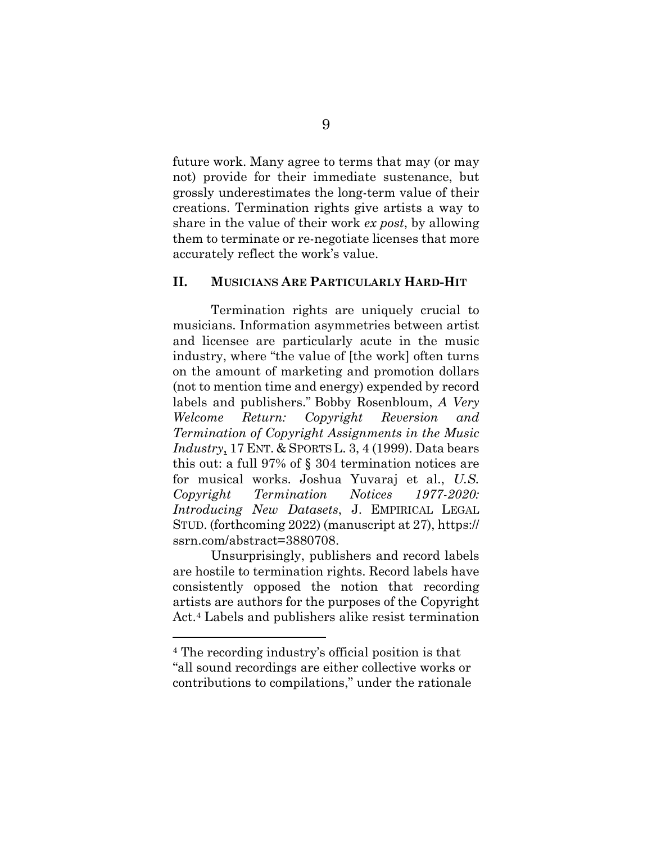future work. Many agree to terms that may (or may not) provide for their immediate sustenance, but grossly underestimates the long-term value of their creations. Termination rights give artists a way to share in the value of their work *ex post*, by allowing them to terminate or re-negotiate licenses that more accurately reflect the work's value.

#### **II. MUSICIANS ARE PARTICULARLY HARD-HIT**

Termination rights are uniquely crucial to musicians. Information asymmetries between artist and licensee are particularly acute in the music industry, where "the value of [the work] often turns on the amount of marketing and promotion dollars (not to mention time and energy) expended by record labels and publishers." Bobby Rosenbloum, *A Very Welcome Return: Copyright Reversion and Termination of Copyright Assignments in the Music Industry*, 17 ENT. & SPORTS L. 3, 4 (1999). Data bears this out: a full 97% of § 304 termination notices are for musical works. Joshua Yuvaraj et al., *U.S. Copyright Termination Notices 1977-2020: Introducing New Datasets*, J. EMPIRICAL LEGAL STUD. (forthcoming 2022) (manuscript at 27), https:// ssrn.com/abstract=3880708.

Unsurprisingly, publishers and record labels are hostile to termination rights. Record labels have consistently opposed the notion that recording artists are authors for the purposes of the Copyright Act.4 Labels and publishers alike resist termination

<sup>4</sup> The recording industry's official position is that "all sound recordings are either collective works or contributions to compilations," under the rationale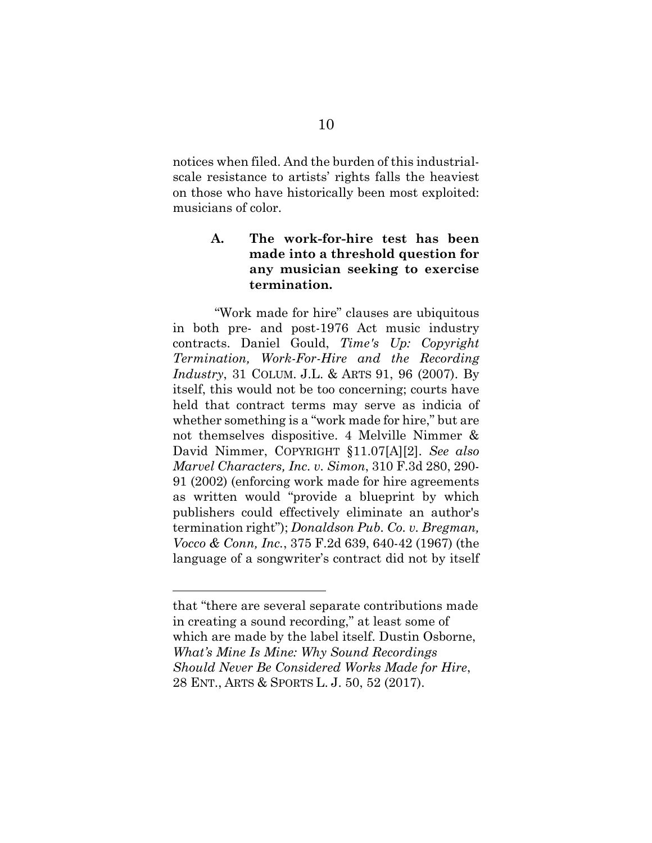notices when filed. And the burden of this industrialscale resistance to artists' rights falls the heaviest on those who have historically been most exploited: musicians of color.

#### **A. The work-for-hire test has been made into a threshold question for any musician seeking to exercise termination.**

"Work made for hire" clauses are ubiquitous in both pre- and post-1976 Act music industry contracts. Daniel Gould, *Time's Up: Copyright Termination, Work-For-Hire and the Recording Industry*, 31 COLUM. J.L. & ARTS 91, 96 (2007). By itself, this would not be too concerning; courts have held that contract terms may serve as indicia of whether something is a "work made for hire," but are not themselves dispositive. 4 Melville Nimmer & David Nimmer, COPYRIGHT §11.07[A][2]. *See also Marvel Characters, Inc. v. Simon*, 310 F.3d 280, 290- 91 (2002) (enforcing work made for hire agreements as written would "provide a blueprint by which publishers could effectively eliminate an author's termination right"); *Donaldson Pub. Co. v. Bregman, Vocco & Conn, Inc.*, 375 F.2d 639, 640-42 (1967) (the language of a songwriter's contract did not by itself

that "there are several separate contributions made in creating a sound recording," at least some of which are made by the label itself. Dustin Osborne, *What's Mine Is Mine: Why Sound Recordings Should Never Be Considered Works Made for Hire*, 28 ENT., ARTS & SPORTS L. J. 50, 52 (2017).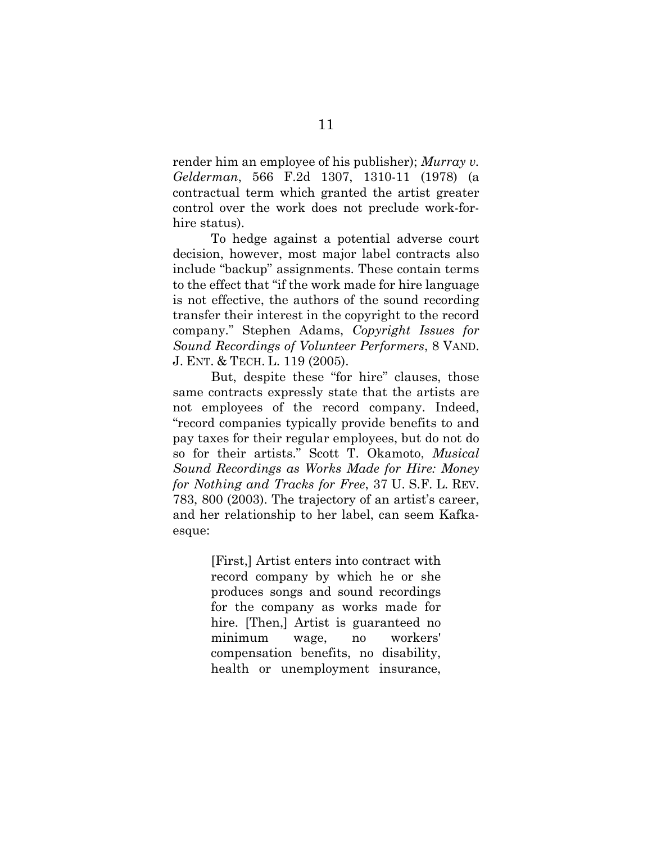render him an employee of his publisher); *Murray v. Gelderman*, 566 F.2d 1307, 1310-11 (1978) (a contractual term which granted the artist greater control over the work does not preclude work-forhire status).

To hedge against a potential adverse court decision, however, most major label contracts also include "backup" assignments. These contain terms to the effect that "if the work made for hire language is not effective, the authors of the sound recording transfer their interest in the copyright to the record company." Stephen Adams, *Copyright Issues for Sound Recordings of Volunteer Performers*, 8 VAND. J. ENT. & TECH. L. 119 (2005).

But, despite these "for hire" clauses, those same contracts expressly state that the artists are not employees of the record company. Indeed, "record companies typically provide benefits to and pay taxes for their regular employees, but do not do so for their artists." Scott T. Okamoto, *Musical Sound Recordings as Works Made for Hire: Money for Nothing and Tracks for Free*, 37 U. S.F. L. REV. 783, 800 (2003). The trajectory of an artist's career, and her relationship to her label, can seem Kafkaesque:

> [First,] Artist enters into contract with record company by which he or she produces songs and sound recordings for the company as works made for hire. [Then,] Artist is guaranteed no minimum wage, no workers' compensation benefits, no disability, health or unemployment insurance,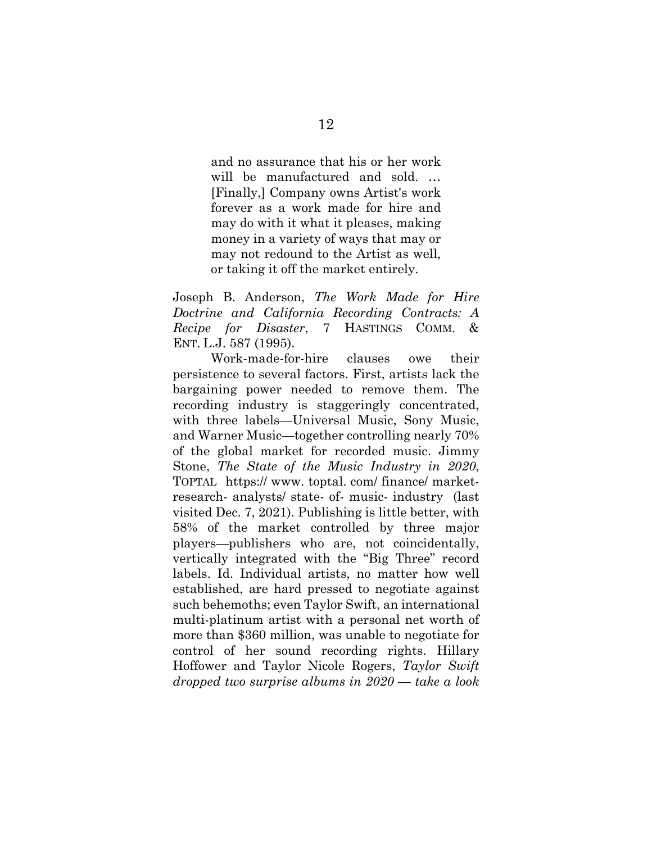and no assurance that his or her work will be manufactured and sold. … [Finally,] Company owns Artist's work forever as a work made for hire and may do with it what it pleases, making money in a variety of ways that may or may not redound to the Artist as well, or taking it off the market entirely.

Joseph B. Anderson, *The Work Made for Hire Doctrine and California Recording Contracts: A Recipe for Disaster*, 7 HASTINGS COMM. & ENT. L.J. 587 (1995).

Work-made-for-hire clauses owe their persistence to several factors. First, artists lack the bargaining power needed to remove them. The recording industry is staggeringly concentrated, with three labels—Universal Music, Sony Music, and Warner Music—together controlling nearly 70% of the global market for recorded music. Jimmy Stone, *The State of the Music Industry in 2020*, TOPTAL https:// www. toptal. com/ finance/ marketresearch- analysts/ state- of- music- industry (last visited Dec. 7, 2021). Publishing is little better, with 58% of the market controlled by three major players—publishers who are, not coincidentally, vertically integrated with the "Big Three" record labels. Id. Individual artists, no matter how well established, are hard pressed to negotiate against such behemoths; even Taylor Swift, an international multi-platinum artist with a personal net worth of more than \$360 million, was unable to negotiate for control of her sound recording rights. Hillary Hoffower and Taylor Nicole Rogers, *Taylor Swift dropped two surprise albums in 2020 — take a look*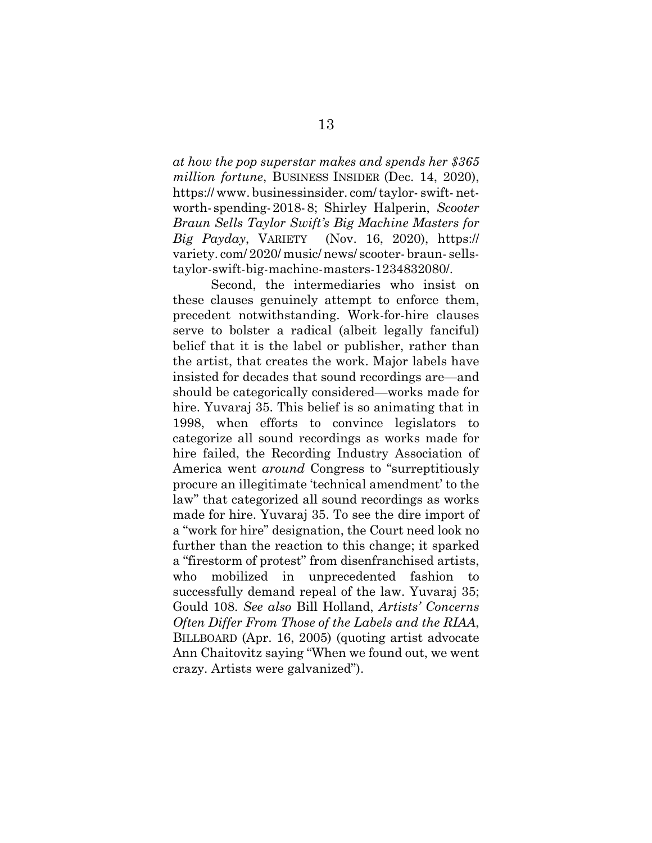*at how the pop superstar makes and spends her \$365 million fortune*, BUSINESS INSIDER (Dec. 14, 2020), https:// www. businessinsider. com/taylor- swift- networth- spending-2018-8; Shirley Halperin, *Scooter Braun Sells Taylor Swift's Big Machine Masters for Big Payday*, VARIETY(Nov. 16, 2020), https:// variety. com/ 2020/ music/ news/ scooter- braun- sellstaylor-swift-big-machine-masters-1234832080/.

Second, the intermediaries who insist on these clauses genuinely attempt to enforce them, precedent notwithstanding. Work-for-hire clauses serve to bolster a radical (albeit legally fanciful) belief that it is the label or publisher, rather than the artist, that creates the work. Major labels have insisted for decades that sound recordings are—and should be categorically considered—works made for hire. Yuvaraj 35. This belief is so animating that in 1998, when efforts to convince legislators to categorize all sound recordings as works made for hire failed, the Recording Industry Association of America went *around* Congress to "surreptitiously procure an illegitimate 'technical amendment' to the law" that categorized all sound recordings as works made for hire. Yuvaraj 35. To see the dire import of a "work for hire" designation, the Court need look no further than the reaction to this change; it sparked a "firestorm of protest" from disenfranchised artists, who mobilized in unprecedented fashion to successfully demand repeal of the law. Yuvaraj 35; Gould 108. *See also* Bill Holland, *Artists' Concerns Often Differ From Those of the Labels and the RIAA*, BILLBOARD (Apr. 16, 2005) (quoting artist advocate Ann Chaitovitz saying "When we found out, we went crazy. Artists were galvanized").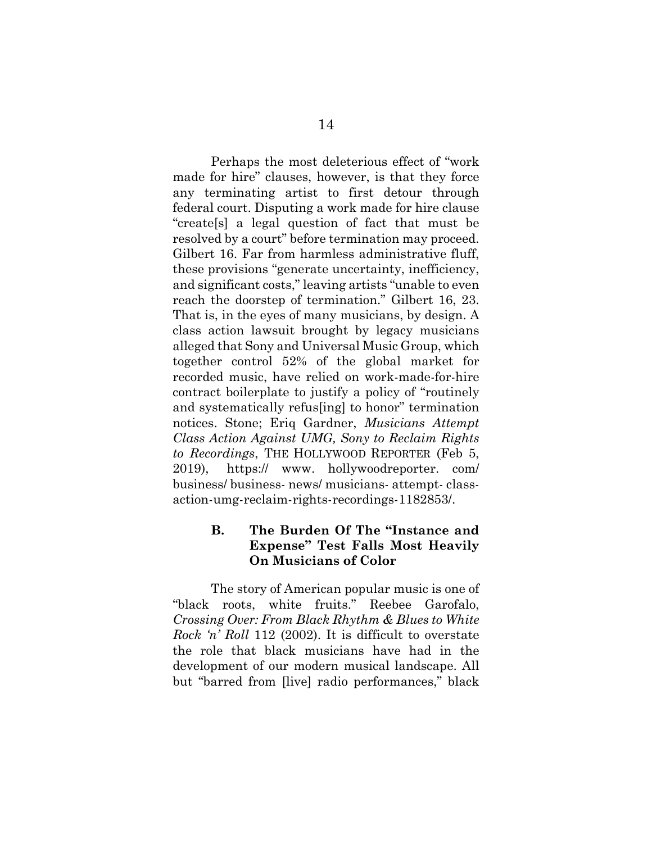Perhaps the most deleterious effect of "work made for hire" clauses, however, is that they force any terminating artist to first detour through federal court. Disputing a work made for hire clause "create[s] a legal question of fact that must be resolved by a court" before termination may proceed. Gilbert 16. Far from harmless administrative fluff, these provisions "generate uncertainty, inefficiency, and significant costs," leaving artists "unable to even reach the doorstep of termination." Gilbert 16, 23. That is, in the eyes of many musicians, by design. A class action lawsuit brought by legacy musicians alleged that Sony and Universal Music Group, which together control 52% of the global market for recorded music, have relied on work-made-for-hire contract boilerplate to justify a policy of "routinely and systematically refus[ing] to honor" termination notices. Stone; Eriq Gardner, *Musicians Attempt Class Action Against UMG, Sony to Reclaim Rights to Recordings*, THE HOLLYWOOD REPORTER (Feb 5, 2019), https:// www. hollywoodreporter. com/ business/ business- news/ musicians- attempt- classaction-umg-reclaim-rights-recordings-1182853/.

#### **B. The Burden Of The "Instance and Expense" Test Falls Most Heavily On Musicians of Color**

The story of American popular music is one of "black roots, white fruits." Reebee Garofalo, *Crossing Over: From Black Rhythm & Blues to White Rock 'n' Roll* 112 (2002). It is difficult to overstate the role that black musicians have had in the development of our modern musical landscape. All but "barred from [live] radio performances," black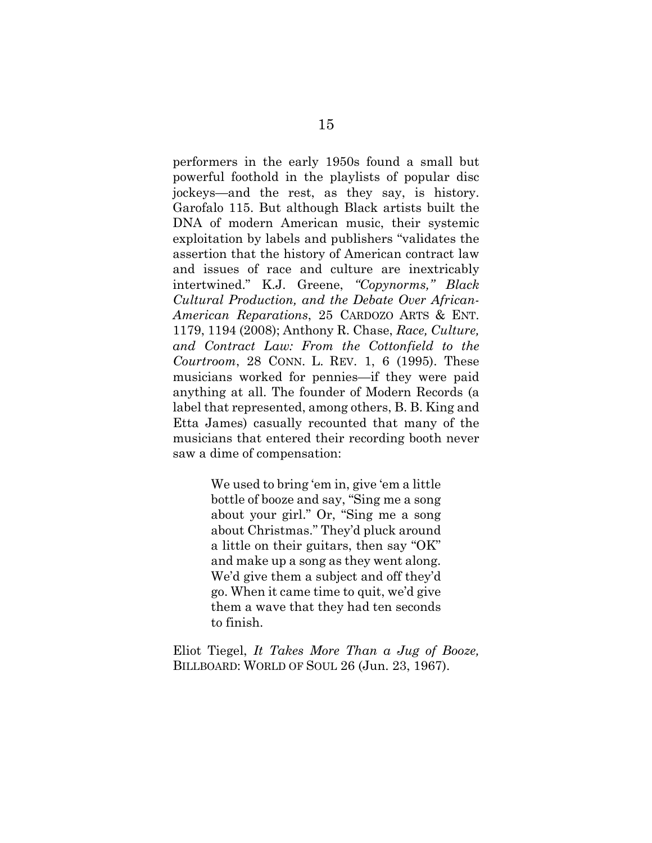performers in the early 1950s found a small but powerful foothold in the playlists of popular disc jockeys—and the rest, as they say, is history. Garofalo 115. But although Black artists built the DNA of modern American music, their systemic exploitation by labels and publishers "validates the assertion that the history of American contract law and issues of race and culture are inextricably intertwined." K.J. Greene, *"Copynorms," Black Cultural Production, and the Debate Over African-American Reparations*, 25 CARDOZO ARTS & ENT. 1179, 1194 (2008); Anthony R. Chase, *Race, Culture, and Contract Law: From the Cottonfield to the Courtroom*, 28 CONN. L. REV. 1, 6 (1995). These musicians worked for pennies—if they were paid anything at all. The founder of Modern Records (a label that represented, among others, B. B. King and Etta James) casually recounted that many of the musicians that entered their recording booth never saw a dime of compensation:

> We used to bring 'em in, give 'em a little bottle of booze and say, "Sing me a song about your girl." Or, "Sing me a song about Christmas." They'd pluck around a little on their guitars, then say "OK" and make up a song as they went along. We'd give them a subject and off they'd go. When it came time to quit, we'd give them a wave that they had ten seconds to finish.

Eliot Tiegel, *It Takes More Than a Jug of Booze,*  BILLBOARD: WORLD OF SOUL 26 (Jun. 23, 1967).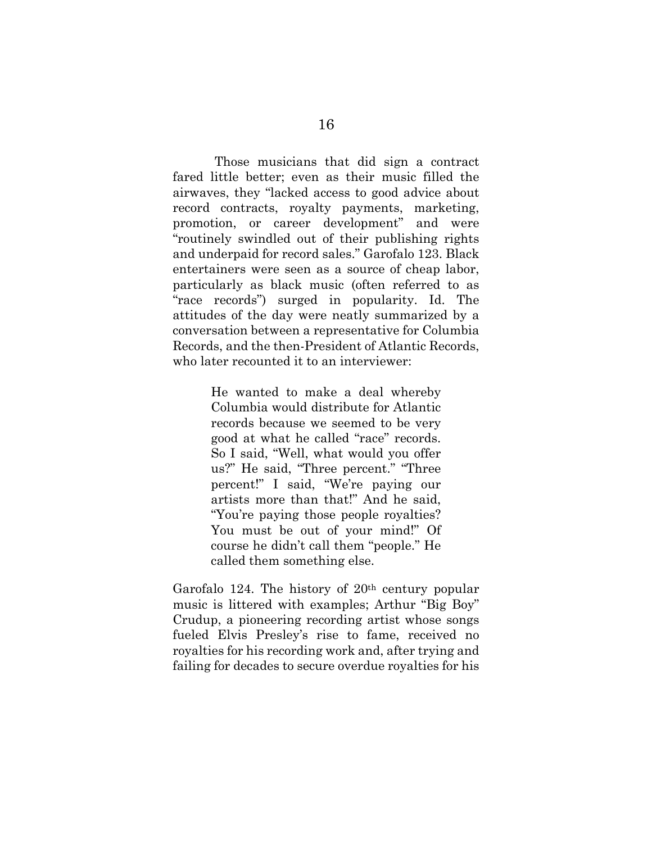Those musicians that did sign a contract fared little better; even as their music filled the airwaves, they "lacked access to good advice about record contracts, royalty payments, marketing, promotion, or career development" and were "routinely swindled out of their publishing rights and underpaid for record sales." Garofalo 123. Black entertainers were seen as a source of cheap labor, particularly as black music (often referred to as "race records") surged in popularity. Id. The attitudes of the day were neatly summarized by a conversation between a representative for Columbia Records, and the then-President of Atlantic Records, who later recounted it to an interviewer:

> He wanted to make a deal whereby Columbia would distribute for Atlantic records because we seemed to be very good at what he called "race" records. So I said, "Well, what would you offer us?" He said, "Three percent." "Three percent!" I said, "We're paying our artists more than that!" And he said, "You're paying those people royalties? You must be out of your mind!" Of course he didn't call them "people." He called them something else.

Garofalo 124. The history of  $20<sup>th</sup>$  century popular music is littered with examples; Arthur "Big Boy" Crudup, a pioneering recording artist whose songs fueled Elvis Presley's rise to fame, received no royalties for his recording work and, after trying and failing for decades to secure overdue royalties for his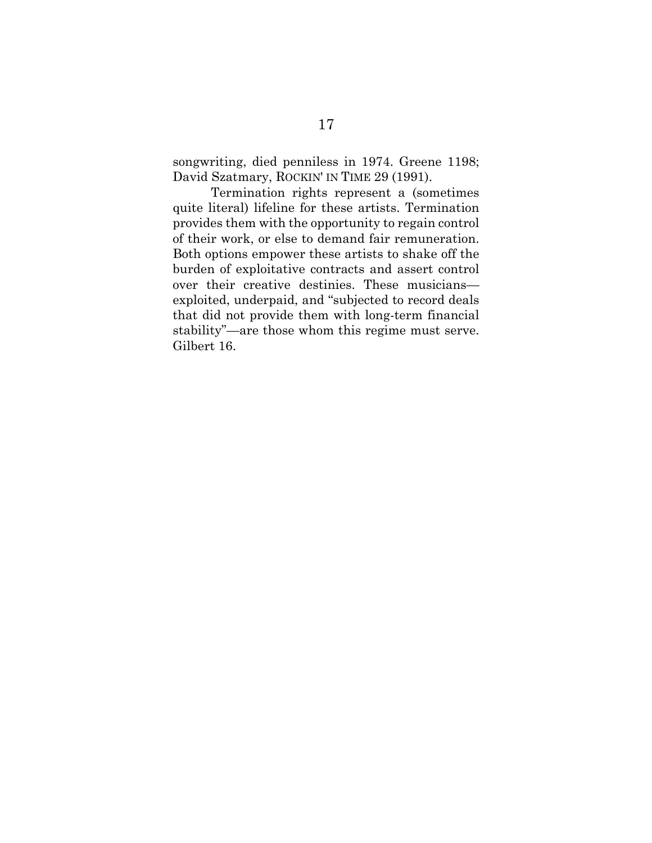songwriting, died penniless in 1974. Greene 1198; David Szatmary, ROCKIN' IN TIME 29 (1991).

Termination rights represent a (sometimes quite literal) lifeline for these artists. Termination provides them with the opportunity to regain control of their work, or else to demand fair remuneration. Both options empower these artists to shake off the burden of exploitative contracts and assert control over their creative destinies. These musicians exploited, underpaid, and "subjected to record deals that did not provide them with long-term financial stability"—are those whom this regime must serve. Gilbert 16.